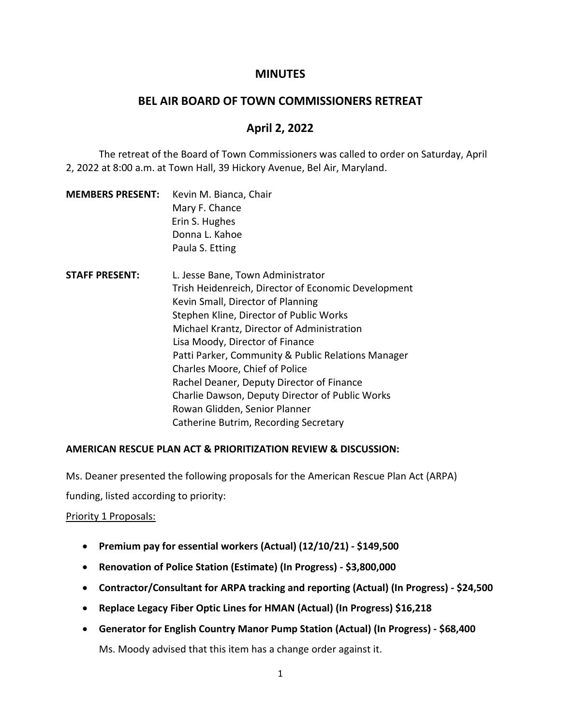# **MINUTES**

### **BEL AIR BOARD OF TOWN COMMISSIONERS RETREAT**

# **April 2, 2022**

The retreat of the Board of Town Commissioners was called to order on Saturday, April 2, 2022 at 8:00 a.m. at Town Hall, 39 Hickory Avenue, Bel Air, Maryland.

| <b>MEMBERS PRESENT:</b> | Kevin M. Bianca, Chair |
|-------------------------|------------------------|
|                         | Mary F. Chance         |
|                         | Erin S. Hughes         |
|                         | Donna L. Kahoe         |
|                         | Paula S. Etting        |

**STAFF PRESENT:** L. Jesse Bane, Town Administrator Trish Heidenreich, Director of Economic Development Kevin Small, Director of Planning Stephen Kline, Director of Public Works Michael Krantz, Director of Administration Lisa Moody, Director of Finance Patti Parker, Community & Public Relations Manager Charles Moore, Chief of Police Rachel Deaner, Deputy Director of Finance Charlie Dawson, Deputy Director of Public Works Rowan Glidden, Senior Planner Catherine Butrim, Recording Secretary

### **AMERICAN RESCUE PLAN ACT & PRIORITIZATION REVIEW & DISCUSSION:**

Ms. Deaner presented the following proposals for the American Rescue Plan Act (ARPA)

funding, listed according to priority:

#### Priority 1 Proposals:

- **Premium pay for essential workers (Actual) (12/10/21) - \$149,500**
- **Renovation of Police Station (Estimate) (In Progress) - \$3,800,000**
- **Contractor/Consultant for ARPA tracking and reporting (Actual) (In Progress) - \$24,500**
- **Replace Legacy Fiber Optic Lines for HMAN (Actual) (In Progress) \$16,218**
- **Generator for English Country Manor Pump Station (Actual) (In Progress) - \$68,400**

Ms. Moody advised that this item has a change order against it.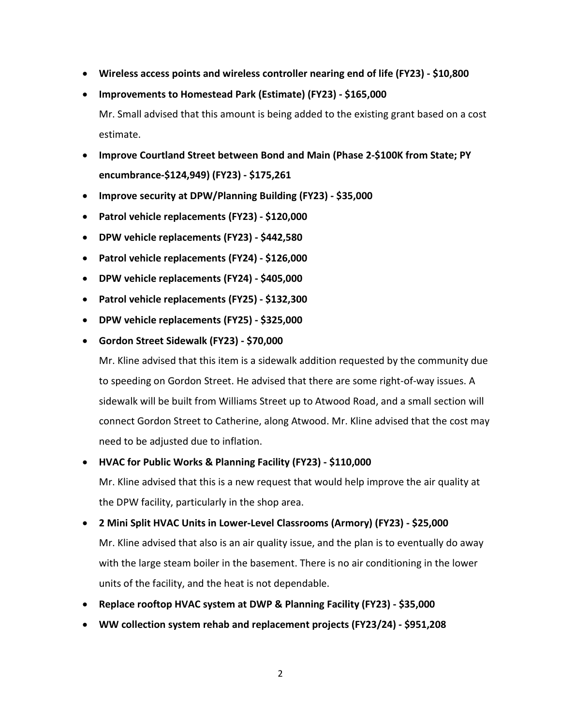- **Wireless access points and wireless controller nearing end of life (FY23) - \$10,800**
- **Improvements to Homestead Park (Estimate) (FY23) - \$165,000**

Mr. Small advised that this amount is being added to the existing grant based on a cost estimate.

- **Improve Courtland Street between Bond and Main (Phase 2-\$100K from State; PY encumbrance-\$124,949) (FY23) - \$175,261**
- **Improve security at DPW/Planning Building (FY23) - \$35,000**
- **Patrol vehicle replacements (FY23) - \$120,000**
- **DPW vehicle replacements (FY23) - \$442,580**
- **Patrol vehicle replacements (FY24) - \$126,000**
- **DPW vehicle replacements (FY24) - \$405,000**
- **Patrol vehicle replacements (FY25) - \$132,300**
- **DPW vehicle replacements (FY25) - \$325,000**
- **Gordon Street Sidewalk (FY23) - \$70,000**

Mr. Kline advised that this item is a sidewalk addition requested by the community due to speeding on Gordon Street. He advised that there are some right-of-way issues. A sidewalk will be built from Williams Street up to Atwood Road, and a small section will connect Gordon Street to Catherine, along Atwood. Mr. Kline advised that the cost may need to be adjusted due to inflation.

### • **HVAC for Public Works & Planning Facility (FY23) - \$110,000**

Mr. Kline advised that this is a new request that would help improve the air quality at the DPW facility, particularly in the shop area.

- **2 Mini Split HVAC Units in Lower-Level Classrooms (Armory) (FY23) - \$25,000** Mr. Kline advised that also is an air quality issue, and the plan is to eventually do away with the large steam boiler in the basement. There is no air conditioning in the lower units of the facility, and the heat is not dependable.
- **Replace rooftop HVAC system at DWP & Planning Facility (FY23) - \$35,000**
- **WW collection system rehab and replacement projects (FY23/24) - \$951,208**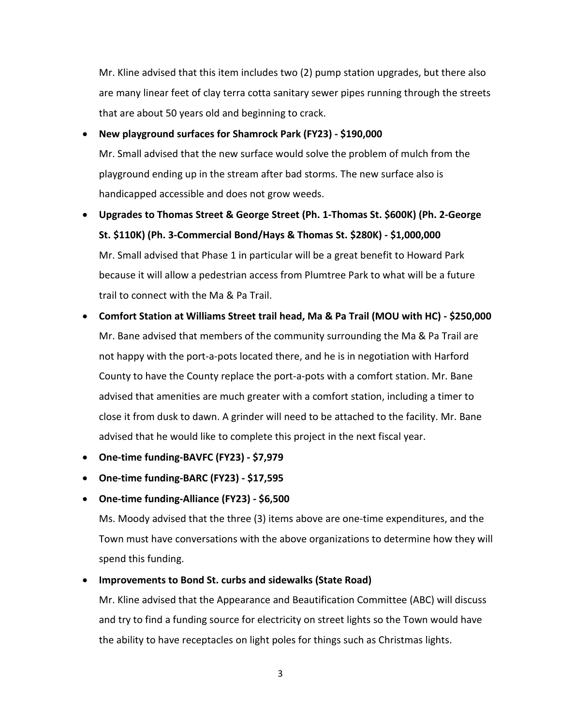Mr. Kline advised that this item includes two (2) pump station upgrades, but there also are many linear feet of clay terra cotta sanitary sewer pipes running through the streets that are about 50 years old and beginning to crack.

• **New playground surfaces for Shamrock Park (FY23) - \$190,000** Mr. Small advised that the new surface would solve the problem of mulch from the

playground ending up in the stream after bad storms. The new surface also is handicapped accessible and does not grow weeds.

- **Upgrades to Thomas Street & George Street (Ph. 1-Thomas St. \$600K) (Ph. 2-George St. \$110K) (Ph. 3-Commercial Bond/Hays & Thomas St. \$280K) - \$1,000,000** Mr. Small advised that Phase 1 in particular will be a great benefit to Howard Park because it will allow a pedestrian access from Plumtree Park to what will be a future trail to connect with the Ma & Pa Trail.
- **Comfort Station at Williams Street trail head, Ma & Pa Trail (MOU with HC) - \$250,000** Mr. Bane advised that members of the community surrounding the Ma & Pa Trail are not happy with the port-a-pots located there, and he is in negotiation with Harford County to have the County replace the port-a-pots with a comfort station. Mr. Bane advised that amenities are much greater with a comfort station, including a timer to close it from dusk to dawn. A grinder will need to be attached to the facility. Mr. Bane advised that he would like to complete this project in the next fiscal year.
- **One-time funding-BAVFC (FY23) - \$7,979**
- **One-time funding-BARC (FY23) - \$17,595**
- **One-time funding-Alliance (FY23) - \$6,500**

Ms. Moody advised that the three (3) items above are one-time expenditures, and the Town must have conversations with the above organizations to determine how they will spend this funding.

# • **Improvements to Bond St. curbs and sidewalks (State Road)**

Mr. Kline advised that the Appearance and Beautification Committee (ABC) will discuss and try to find a funding source for electricity on street lights so the Town would have the ability to have receptacles on light poles for things such as Christmas lights.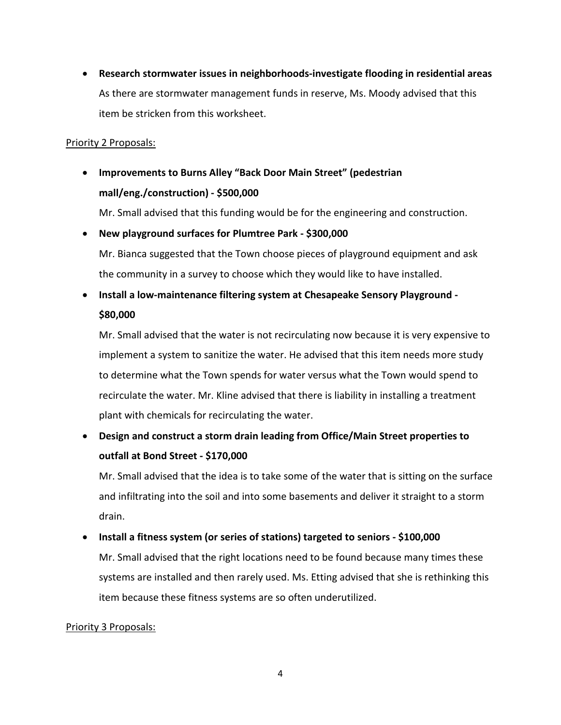• **Research stormwater issues in neighborhoods-investigate flooding in residential areas** As there are stormwater management funds in reserve, Ms. Moody advised that this item be stricken from this worksheet.

### Priority 2 Proposals:

• **Improvements to Burns Alley "Back Door Main Street" (pedestrian mall/eng./construction) - \$500,000** Mr. Small advised that this funding would be for the engineering and construction.

• **New playground surfaces for Plumtree Park - \$300,000** Mr. Bianca suggested that the Town choose pieces of playground equipment and ask the community in a survey to choose which they would like to have installed.

# • **Install a low-maintenance filtering system at Chesapeake Sensory Playground - \$80,000**

Mr. Small advised that the water is not recirculating now because it is very expensive to implement a system to sanitize the water. He advised that this item needs more study to determine what the Town spends for water versus what the Town would spend to recirculate the water. Mr. Kline advised that there is liability in installing a treatment plant with chemicals for recirculating the water.

• **Design and construct a storm drain leading from Office/Main Street properties to outfall at Bond Street - \$170,000**

Mr. Small advised that the idea is to take some of the water that is sitting on the surface and infiltrating into the soil and into some basements and deliver it straight to a storm drain.

# • **Install a fitness system (or series of stations) targeted to seniors - \$100,000**

Mr. Small advised that the right locations need to be found because many times these systems are installed and then rarely used. Ms. Etting advised that she is rethinking this item because these fitness systems are so often underutilized.

# Priority 3 Proposals: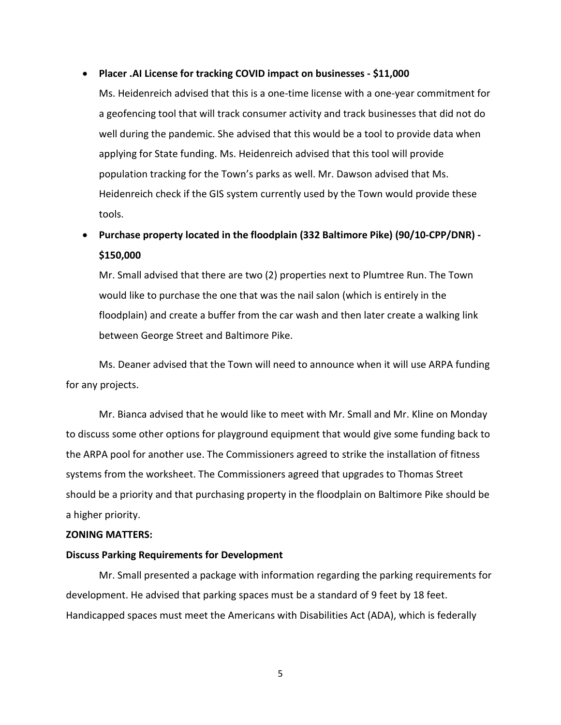#### • **Placer .AI License for tracking COVID impact on businesses - \$11,000**

Ms. Heidenreich advised that this is a one-time license with a one-year commitment for a geofencing tool that will track consumer activity and track businesses that did not do well during the pandemic. She advised that this would be a tool to provide data when applying for State funding. Ms. Heidenreich advised that this tool will provide population tracking for the Town's parks as well. Mr. Dawson advised that Ms. Heidenreich check if the GIS system currently used by the Town would provide these tools.

# • **Purchase property located in the floodplain (332 Baltimore Pike) (90/10-CPP/DNR) - \$150,000**

Mr. Small advised that there are two (2) properties next to Plumtree Run. The Town would like to purchase the one that was the nail salon (which is entirely in the floodplain) and create a buffer from the car wash and then later create a walking link between George Street and Baltimore Pike.

Ms. Deaner advised that the Town will need to announce when it will use ARPA funding for any projects.

Mr. Bianca advised that he would like to meet with Mr. Small and Mr. Kline on Monday to discuss some other options for playground equipment that would give some funding back to the ARPA pool for another use. The Commissioners agreed to strike the installation of fitness systems from the worksheet. The Commissioners agreed that upgrades to Thomas Street should be a priority and that purchasing property in the floodplain on Baltimore Pike should be a higher priority.

#### **ZONING MATTERS:**

#### **Discuss Parking Requirements for Development**

Mr. Small presented a package with information regarding the parking requirements for development. He advised that parking spaces must be a standard of 9 feet by 18 feet. Handicapped spaces must meet the Americans with Disabilities Act (ADA), which is federally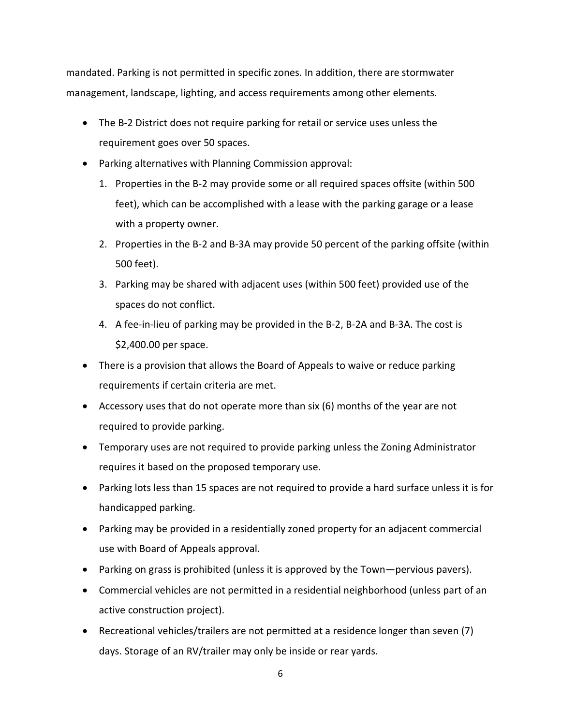mandated. Parking is not permitted in specific zones. In addition, there are stormwater management, landscape, lighting, and access requirements among other elements.

- The B-2 District does not require parking for retail or service uses unless the requirement goes over 50 spaces.
- Parking alternatives with Planning Commission approval:
	- 1. Properties in the B-2 may provide some or all required spaces offsite (within 500 feet), which can be accomplished with a lease with the parking garage or a lease with a property owner.
	- 2. Properties in the B-2 and B-3A may provide 50 percent of the parking offsite (within 500 feet).
	- 3. Parking may be shared with adjacent uses (within 500 feet) provided use of the spaces do not conflict.
	- 4. A fee-in-lieu of parking may be provided in the B-2, B-2A and B-3A. The cost is \$2,400.00 per space.
- There is a provision that allows the Board of Appeals to waive or reduce parking requirements if certain criteria are met.
- Accessory uses that do not operate more than six (6) months of the year are not required to provide parking.
- Temporary uses are not required to provide parking unless the Zoning Administrator requires it based on the proposed temporary use.
- Parking lots less than 15 spaces are not required to provide a hard surface unless it is for handicapped parking.
- Parking may be provided in a residentially zoned property for an adjacent commercial use with Board of Appeals approval.
- Parking on grass is prohibited (unless it is approved by the Town—pervious pavers).
- Commercial vehicles are not permitted in a residential neighborhood (unless part of an active construction project).
- Recreational vehicles/trailers are not permitted at a residence longer than seven (7) days. Storage of an RV/trailer may only be inside or rear yards.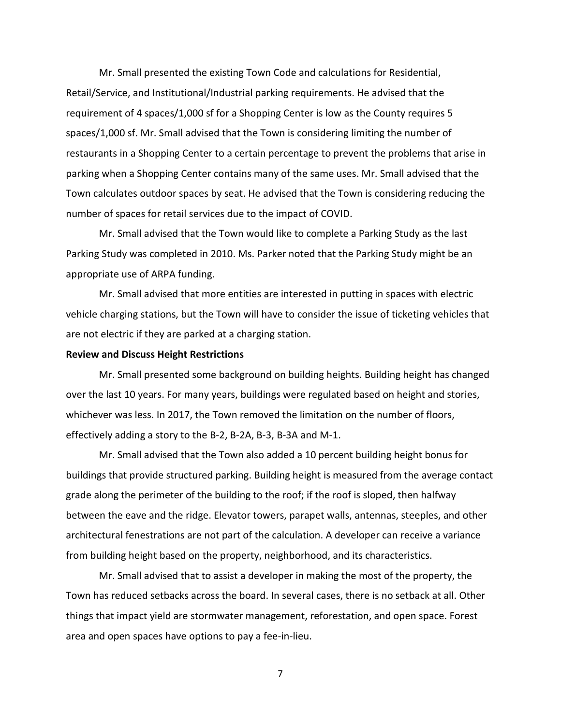Mr. Small presented the existing Town Code and calculations for Residential, Retail/Service, and Institutional/Industrial parking requirements. He advised that the requirement of 4 spaces/1,000 sf for a Shopping Center is low as the County requires 5 spaces/1,000 sf. Mr. Small advised that the Town is considering limiting the number of restaurants in a Shopping Center to a certain percentage to prevent the problems that arise in parking when a Shopping Center contains many of the same uses. Mr. Small advised that the Town calculates outdoor spaces by seat. He advised that the Town is considering reducing the number of spaces for retail services due to the impact of COVID.

Mr. Small advised that the Town would like to complete a Parking Study as the last Parking Study was completed in 2010. Ms. Parker noted that the Parking Study might be an appropriate use of ARPA funding.

Mr. Small advised that more entities are interested in putting in spaces with electric vehicle charging stations, but the Town will have to consider the issue of ticketing vehicles that are not electric if they are parked at a charging station.

#### **Review and Discuss Height Restrictions**

Mr. Small presented some background on building heights. Building height has changed over the last 10 years. For many years, buildings were regulated based on height and stories, whichever was less. In 2017, the Town removed the limitation on the number of floors, effectively adding a story to the B-2, B-2A, B-3, B-3A and M-1.

Mr. Small advised that the Town also added a 10 percent building height bonus for buildings that provide structured parking. Building height is measured from the average contact grade along the perimeter of the building to the roof; if the roof is sloped, then halfway between the eave and the ridge. Elevator towers, parapet walls, antennas, steeples, and other architectural fenestrations are not part of the calculation. A developer can receive a variance from building height based on the property, neighborhood, and its characteristics.

Mr. Small advised that to assist a developer in making the most of the property, the Town has reduced setbacks across the board. In several cases, there is no setback at all. Other things that impact yield are stormwater management, reforestation, and open space. Forest area and open spaces have options to pay a fee-in-lieu.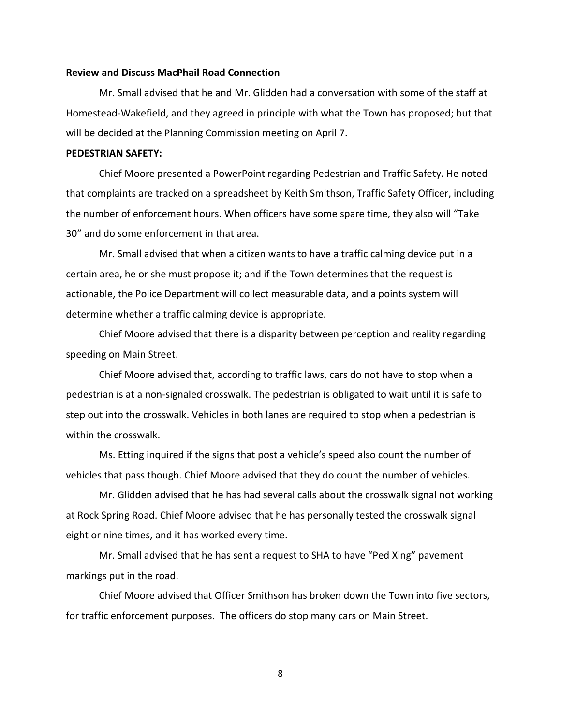#### **Review and Discuss MacPhail Road Connection**

Mr. Small advised that he and Mr. Glidden had a conversation with some of the staff at Homestead-Wakefield, and they agreed in principle with what the Town has proposed; but that will be decided at the Planning Commission meeting on April 7.

#### **PEDESTRIAN SAFETY:**

Chief Moore presented a PowerPoint regarding Pedestrian and Traffic Safety. He noted that complaints are tracked on a spreadsheet by Keith Smithson, Traffic Safety Officer, including the number of enforcement hours. When officers have some spare time, they also will "Take 30" and do some enforcement in that area.

Mr. Small advised that when a citizen wants to have a traffic calming device put in a certain area, he or she must propose it; and if the Town determines that the request is actionable, the Police Department will collect measurable data, and a points system will determine whether a traffic calming device is appropriate.

Chief Moore advised that there is a disparity between perception and reality regarding speeding on Main Street.

Chief Moore advised that, according to traffic laws, cars do not have to stop when a pedestrian is at a non-signaled crosswalk. The pedestrian is obligated to wait until it is safe to step out into the crosswalk. Vehicles in both lanes are required to stop when a pedestrian is within the crosswalk.

Ms. Etting inquired if the signs that post a vehicle's speed also count the number of vehicles that pass though. Chief Moore advised that they do count the number of vehicles.

Mr. Glidden advised that he has had several calls about the crosswalk signal not working at Rock Spring Road. Chief Moore advised that he has personally tested the crosswalk signal eight or nine times, and it has worked every time.

Mr. Small advised that he has sent a request to SHA to have "Ped Xing" pavement markings put in the road.

Chief Moore advised that Officer Smithson has broken down the Town into five sectors, for traffic enforcement purposes. The officers do stop many cars on Main Street.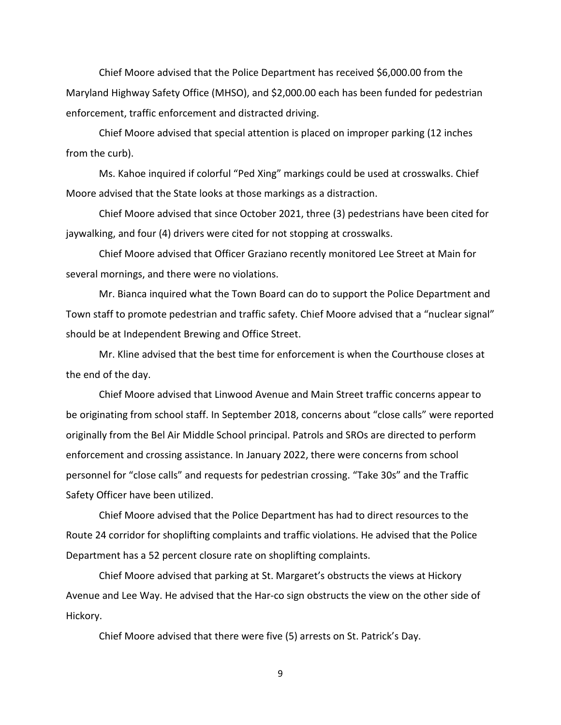Chief Moore advised that the Police Department has received \$6,000.00 from the Maryland Highway Safety Office (MHSO), and \$2,000.00 each has been funded for pedestrian enforcement, traffic enforcement and distracted driving.

Chief Moore advised that special attention is placed on improper parking (12 inches from the curb).

Ms. Kahoe inquired if colorful "Ped Xing" markings could be used at crosswalks. Chief Moore advised that the State looks at those markings as a distraction.

Chief Moore advised that since October 2021, three (3) pedestrians have been cited for jaywalking, and four (4) drivers were cited for not stopping at crosswalks.

Chief Moore advised that Officer Graziano recently monitored Lee Street at Main for several mornings, and there were no violations.

Mr. Bianca inquired what the Town Board can do to support the Police Department and Town staff to promote pedestrian and traffic safety. Chief Moore advised that a "nuclear signal" should be at Independent Brewing and Office Street.

Mr. Kline advised that the best time for enforcement is when the Courthouse closes at the end of the day.

Chief Moore advised that Linwood Avenue and Main Street traffic concerns appear to be originating from school staff. In September 2018, concerns about "close calls" were reported originally from the Bel Air Middle School principal. Patrols and SROs are directed to perform enforcement and crossing assistance. In January 2022, there were concerns from school personnel for "close calls" and requests for pedestrian crossing. "Take 30s" and the Traffic Safety Officer have been utilized.

Chief Moore advised that the Police Department has had to direct resources to the Route 24 corridor for shoplifting complaints and traffic violations. He advised that the Police Department has a 52 percent closure rate on shoplifting complaints.

Chief Moore advised that parking at St. Margaret's obstructs the views at Hickory Avenue and Lee Way. He advised that the Har-co sign obstructs the view on the other side of Hickory.

Chief Moore advised that there were five (5) arrests on St. Patrick's Day.